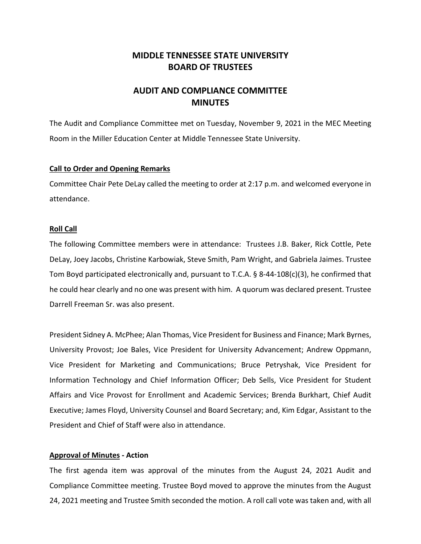# **MIDDLE TENNESSEE STATE UNIVERSITY BOARD OF TRUSTEES**

# **AUDIT AND COMPLIANCE COMMITTEE MINUTES**

The Audit and Compliance Committee met on Tuesday, November 9, 2021 in the MEC Meeting Room in the Miller Education Center at Middle Tennessee State University.

### **Call to Order and Opening Remarks**

Committee Chair Pete DeLay called the meeting to order at 2:17 p.m. and welcomed everyone in attendance.

### **Roll Call**

The following Committee members were in attendance: Trustees J.B. Baker, Rick Cottle, Pete DeLay, Joey Jacobs, Christine Karbowiak, Steve Smith, Pam Wright, and Gabriela Jaimes. Trustee Tom Boyd participated electronically and, pursuant to T.C.A. § 8-44-108(c)(3), he confirmed that he could hear clearly and no one was present with him. A quorum was declared present. Trustee Darrell Freeman Sr. was also present.

President Sidney A. McPhee; Alan Thomas, Vice President for Business and Finance; Mark Byrnes, University Provost; Joe Bales, Vice President for University Advancement; Andrew Oppmann, Vice President for Marketing and Communications; Bruce Petryshak, Vice President for Information Technology and Chief Information Officer; Deb Sells, Vice President for Student Affairs and Vice Provost for Enrollment and Academic Services; Brenda Burkhart, Chief Audit Executive; James Floyd, University Counsel and Board Secretary; and, Kim Edgar, Assistant to the President and Chief of Staff were also in attendance.

#### **Approval of Minutes - Action**

The first agenda item was approval of the minutes from the August 24, 2021 Audit and Compliance Committee meeting. Trustee Boyd moved to approve the minutes from the August 24, 2021 meeting and Trustee Smith seconded the motion. A roll call vote was taken and, with all